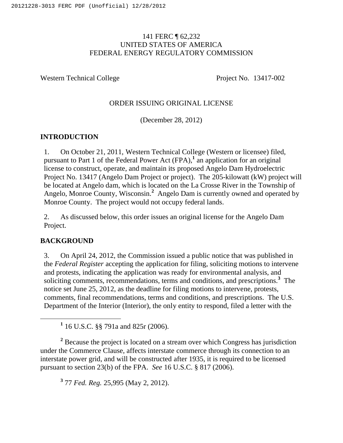### 141 FERC ¶ 62,232 UNITED STATES OF AMERICA FEDERAL ENERGY REGULATORY COMMISSION

Western Technical College Project No. 13417-002

### ORDER ISSUING ORIGINAL LICENSE

(December 28, 2012)

## **INTRODUCTION**

1. On October 21, 2011, Western Technical College (Western or licensee) filed, pursuant to Part 1 of the Federal Power Act (FPA),**<sup>1</sup>** an application for an original license to construct, operate, and maintain its proposed Angelo Dam Hydroelectric Project No. 13417 (Angelo Dam Project or project). The 205-kilowatt (kW) project will be located at Angelo dam, which is located on the La Crosse River in the Township of Angelo, Monroe County, Wisconsin.**<sup>2</sup>** Angelo Dam is currently owned and operated by Monroe County. The project would not occupy federal lands.

2. As discussed below, this order issues an original license for the Angelo Dam Project.

## **BACKGROUND**

3. On April 24, 2012, the Commission issued a public notice that was published in the *Federal Register* accepting the application for filing, soliciting motions to intervene and protests, indicating the application was ready for environmental analysis, and soliciting comments, recommendations, terms and conditions, and prescriptions.**<sup>3</sup>** The notice set June 25, 2012, as the deadline for filing motions to intervene, protests, comments, final recommendations, terms and conditions, and prescriptions. The U.S. Department of the Interior (Interior), the only entity to respond, filed a letter with the

<u>1</u> 16 U.S.C. §§ 791a and 825r (2006).

<sup>2</sup> Because the project is located on a stream over which Congress has jurisdiction under the Commerce Clause, affects interstate commerce through its connection to an interstate power grid, and will be constructed after 1935, it is required to be licensed pursuant to section 23(b) of the FPA. *See* 16 U.S.C. § 817 (2006).

**3** 77 *Fed. Reg.* 25,995 (May 2, 2012).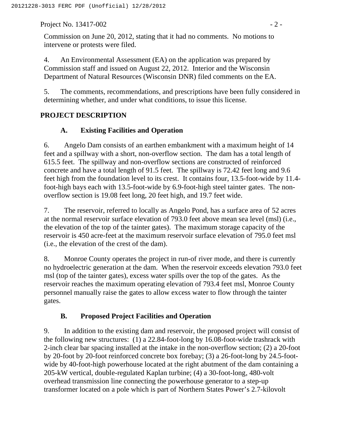Project No. 13417-002 - 2 -

Commission on June 20, 2012, stating that it had no comments. No motions to intervene or protests were filed.

4. An Environmental Assessment (EA) on the application was prepared by Commission staff and issued on August 22, 2012. Interior and the Wisconsin Department of Natural Resources (Wisconsin DNR) filed comments on the EA.

5. The comments, recommendations, and prescriptions have been fully considered in determining whether, and under what conditions, to issue this license.

## **PROJECT DESCRIPTION**

### **A. Existing Facilities and Operation**

6. Angelo Dam consists of an earthen embankment with a maximum height of 14 feet and a spillway with a short, non-overflow section. The dam has a total length of 615.5 feet. The spillway and non-overflow sections are constructed of reinforced concrete and have a total length of 91.5 feet. The spillway is 72.42 feet long and 9.6 feet high from the foundation level to its crest. It contains four, 13.5-foot-wide by 11.4 foot-high bays each with 13.5-foot-wide by 6.9-foot-high steel tainter gates. The nonoverflow section is 19.08 feet long, 20 feet high, and 19.7 feet wide.

7. The reservoir, referred to locally as Angelo Pond, has a surface area of 52 acres at the normal reservoir surface elevation of 793.0 feet above mean sea level (msl) (i.e., the elevation of the top of the tainter gates). The maximum storage capacity of the reservoir is 450 acre-feet at the maximum reservoir surface elevation of 795.0 feet msl (i.e., the elevation of the crest of the dam).

8. Monroe County operates the project in run-of river mode, and there is currently no hydroelectric generation at the dam. When the reservoir exceeds elevation 793.0 feet msl (top of the tainter gates), excess water spills over the top of the gates. As the reservoir reaches the maximum operating elevation of 793.4 feet msl, Monroe County personnel manually raise the gates to allow excess water to flow through the tainter gates.

## **B. Proposed Project Facilities and Operation**

9. In addition to the existing dam and reservoir, the proposed project will consist of the following new structures: (1) a 22.84-foot-long by 16.08-foot-wide trashrack with 2-inch clear bar spacing installed at the intake in the non-overflow section; (2) a 20-foot by 20-foot by 20-foot reinforced concrete box forebay; (3) a 26-foot-long by 24.5-footwide by 40-foot-high powerhouse located at the right abutment of the dam containing a 205-kW vertical, double-regulated Kaplan turbine; (4) a 30-foot-long, 480-volt overhead transmission line connecting the powerhouse generator to a step-up transformer located on a pole which is part of Northern States Power's 2.7-kilovolt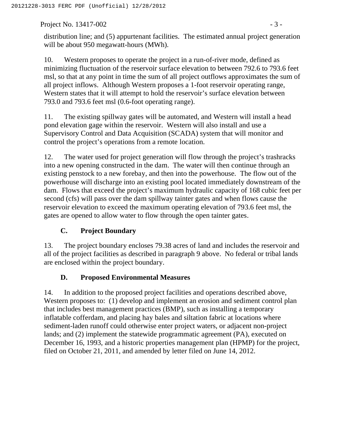Project No. 13417-002 - 3

distribution line; and (5) appurtenant facilities. The estimated annual project generation will be about 950 megawatt-hours (MWh).

10. Western proposes to operate the project in a run-of-river mode, defined as minimizing fluctuation of the reservoir surface elevation to between 792.6 to 793.6 feet msl, so that at any point in time the sum of all project outflows approximates the sum of all project inflows. Although Western proposes a 1-foot reservoir operating range, Western states that it will attempt to hold the reservoir's surface elevation between 793.0 and 793.6 feet msl (0.6-foot operating range).

11. The existing spillway gates will be automated, and Western will install a head pond elevation gage within the reservoir. Western will also install and use a Supervisory Control and Data Acquisition (SCADA) system that will monitor and control the project's operations from a remote location.

12. The water used for project generation will flow through the project's trashracks into a new opening constructed in the dam. The water will then continue through an existing penstock to a new forebay, and then into the powerhouse. The flow out of the powerhouse will discharge into an existing pool located immediately downstream of the dam. Flows that exceed the project's maximum hydraulic capacity of 168 cubic feet per second (cfs) will pass over the dam spillway tainter gates and when flows cause the reservoir elevation to exceed the maximum operating elevation of 793.6 feet msl, the gates are opened to allow water to flow through the open tainter gates.

## **C. Project Boundary**

13. The project boundary encloses 79.38 acres of land and includes the reservoir and all of the project facilities as described in paragraph 9 above. No federal or tribal lands are enclosed within the project boundary.

## **D. Proposed Environmental Measures**

14. In addition to the proposed project facilities and operations described above, Western proposes to: (1) develop and implement an erosion and sediment control plan that includes best management practices (BMP), such as installing a temporary inflatable cofferdam, and placing hay bales and siltation fabric at locations where sediment-laden runoff could otherwise enter project waters, or adjacent non-project lands; and (2) implement the statewide programmatic agreement (PA), executed on December 16, 1993, and a historic properties management plan (HPMP) for the project, filed on October 21, 2011, and amended by letter filed on June 14, 2012.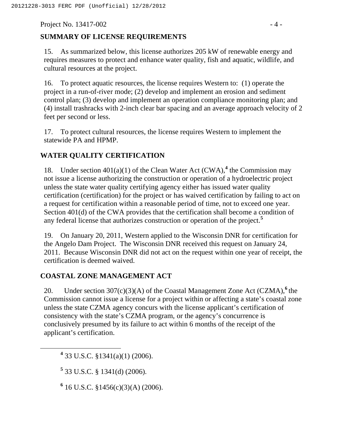Project No. 13417-002 - 4 -

# **SUMMARY OF LICENSE REQUIREMENTS**

15. As summarized below, this license authorizes 205 kW of renewable energy and requires measures to protect and enhance water quality, fish and aquatic, wildlife, and cultural resources at the project.

16. To protect aquatic resources, the license requires Western to: (1) operate the project in a run-of-river mode; (2) develop and implement an erosion and sediment control plan; (3) develop and implement an operation compliance monitoring plan; and (4) install trashracks with 2-inch clear bar spacing and an average approach velocity of 2 feet per second or less.

17. To protect cultural resources, the license requires Western to implement the statewide PA and HPMP.

# **WATER QUALITY CERTIFICATION**

18. Under section  $401(a)(1)$  of the Clean Water Act (CWA),<sup>4</sup> the Commission may not issue a license authorizing the construction or operation of a hydroelectric project unless the state water quality certifying agency either has issued water quality certification (certification) for the project or has waived certification by failing to act on a request for certification within a reasonable period of time, not to exceed one year. Section 401(d) of the CWA provides that the certification shall become a condition of any federal license that authorizes construction or operation of the project.**<sup>5</sup>**

19. On January 20, 2011, Western applied to the Wisconsin DNR for certification for the Angelo Dam Project. The Wisconsin DNR received this request on January 24, 2011. Because Wisconsin DNR did not act on the request within one year of receipt, the certification is deemed waived.

## **COASTAL ZONE MANAGEMENT ACT**

20. Under section 307(c)(3)(A) of the Coastal Management Zone Act (CZMA),<sup>6</sup> the Commission cannot issue a license for a project within or affecting a state's coastal zone unless the state CZMA agency concurs with the license applicant's certification of consistency with the state's CZMA program, or the agency's concurrence is conclusively presumed by its failure to act within 6 months of the receipt of the applicant's certification.

 **<sup>4</sup>** 33 U.S.C. §1341(a)(1) (2006).

**5** 33 U.S.C. § 1341(d) (2006).

 $6$  16 U.S.C. §1456(c)(3)(A) (2006).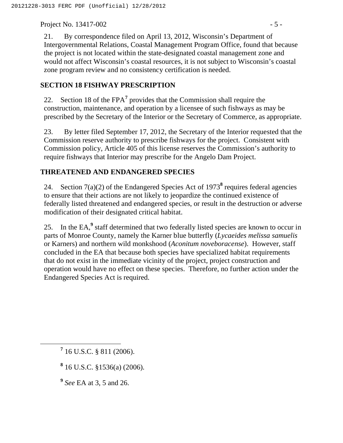Project No. 13417-002 - 5 -

### **SECTION 18 FISHWAY PRESCRIPTION**

22. Section 18 of the FPA<sup>7</sup> provides that the Commission shall require the construction, maintenance, and operation by a licensee of such fishways as may be prescribed by the Secretary of the Interior or the Secretary of Commerce, as appropriate.

23. By letter filed September 17, 2012, the Secretary of the Interior requested that the Commission reserve authority to prescribe fishways for the project. Consistent with Commission policy, Article 405 of this license reserves the Commission's authority to require fishways that Interior may prescribe for the Angelo Dam Project.

### **THREATENED AND ENDANGERED SPECIES**

24. Section  $7(a)(2)$  of the Endangered Species Act of 1973<sup>8</sup> requires federal agencies to ensure that their actions are not likely to jeopardize the continued existence of federally listed threatened and endangered species, or result in the destruction or adverse modification of their designated critical habitat.

25. In the EA,<sup>9</sup> staff determined that two federally listed species are known to occur in parts of Monroe County, namely the Karner blue butterfly (*Lycaeides melissa samuelis* or Karners) and northern wild monkshood (*Aconitum noveboracense*). However, staff concluded in the EA that because both species have specialized habitat requirements that do not exist in the immediate vicinity of the project, project construction and operation would have no effect on these species. Therefore, no further action under the Endangered Species Act is required.

- **8** 16 U.S.C. §1536(a) (2006).
- **<sup>9</sup>** *See* EA at 3, 5 and 26.

**<sup>7</sup>**  $716$  U.S.C. § 811 (2006).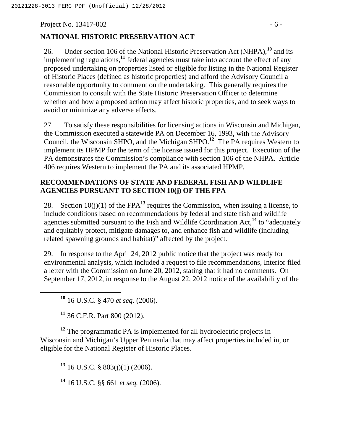Project No. 13417-002 - 6 -

### **NATIONAL HISTORIC PRESERVATION ACT**

26. Under section 106 of the National Historic Preservation Act (NHPA),**<sup>10</sup>** and its implementing regulations,<sup>11</sup> federal agencies must take into account the effect of any proposed undertaking on properties listed or eligible for listing in the National Register of Historic Places (defined as historic properties) and afford the Advisory Council a reasonable opportunity to comment on the undertaking. This generally requires the Commission to consult with the State Historic Preservation Officer to determine whether and how a proposed action may affect historic properties, and to seek ways to avoid or minimize any adverse effects.

27. To satisfy these responsibilities for licensing actions in Wisconsin and Michigan, the Commission executed a statewide PA on December 16, 1993**,** with the Advisory Council, the Wisconsin SHPO, and the Michigan SHPO.**<sup>12</sup>** The PA requires Western to implement its HPMP for the term of the license issued for this project. Execution of the PA demonstrates the Commission's compliance with section 106 of the NHPA. Article 406 requires Western to implement the PA and its associated HPMP.

### **RECOMMENDATIONS OF STATE AND FEDERAL FISH AND WILDLIFE AGENCIES PURSUANT TO SECTION 10(j) OF THE FPA**

28. Section  $10(i)(1)$  of the FPA<sup>13</sup> requires the Commission, when issuing a license, to include conditions based on recommendations by federal and state fish and wildlife agencies submitted pursuant to the Fish and Wildlife Coordination Act,**<sup>14</sup>** to "adequately and equitably protect, mitigate damages to, and enhance fish and wildlife (including related spawning grounds and habitat)" affected by the project.

29. In response to the April 24, 2012 public notice that the project was ready for environmental analysis, which included a request to file recommendations, Interior filed a letter with the Commission on June 20, 2012, stating that it had no comments. On September 17, 2012, in response to the August 22, 2012 notice of the availability of the

**<sup>10</sup>** 16 U.S.C. § 470 *et seq*. (2006)*.*

**<sup>11</sup>** 36 C.F.R. Part 800 (2012).

<sup>12</sup> The programmatic PA is implemented for all hydroelectric projects in Wisconsin and Michigan's Upper Peninsula that may affect properties included in, or eligible for the National Register of Historic Places.

**<sup>13</sup>** 16 U.S.C. § 803(j)(1) (2006).

**<sup>14</sup>** 16 U.S.C. §§ 661 *et seq.* (2006).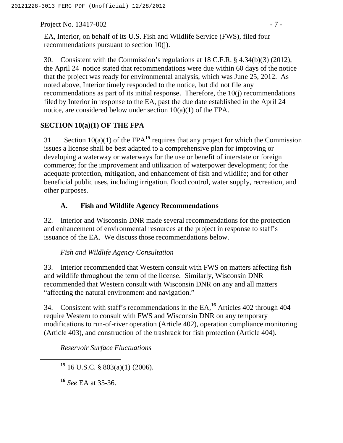Project No. 13417-002 - 7 -

EA, Interior, on behalf of its U.S. Fish and Wildlife Service (FWS), filed four recommendations pursuant to section 10(j).

30. Consistent with the Commission's regulations at 18 C.F.R. § 4.34(b)(3) (2012), the April 24 notice stated that recommendations were due within 60 days of the notice that the project was ready for environmental analysis, which was June 25, 2012. As noted above, Interior timely responded to the notice, but did not file any recommendations as part of its initial response. Therefore, the 10(j) recommendations filed by Interior in response to the EA, past the due date established in the April 24 notice, are considered below under section 10(a)(1) of the FPA.

### **SECTION 10(a)(1) OF THE FPA**

31. Section  $10(a)(1)$  of the FPA<sup>15</sup> requires that any project for which the Commission issues a license shall be best adapted to a comprehensive plan for improving or developing a waterway or waterways for the use or benefit of interstate or foreign commerce; for the improvement and utilization of waterpower development; for the adequate protection, mitigation, and enhancement of fish and wildlife; and for other beneficial public uses, including irrigation, flood control, water supply, recreation, and other purposes.

## **A. Fish and Wildlife Agency Recommendations**

32. Interior and Wisconsin DNR made several recommendations for the protection and enhancement of environmental resources at the project in response to staff's issuance of the EA. We discuss those recommendations below.

### *Fish and Wildlife Agency Consultation*

33. Interior recommended that Western consult with FWS on matters affecting fish and wildlife throughout the term of the license. Similarly, Wisconsin DNR recommended that Western consult with Wisconsin DNR on any and all matters "affecting the natural environment and navigation."

34. Consistent with staff's recommendations in the EA,**<sup>16</sup>** Articles 402 through 404 require Western to consult with FWS and Wisconsin DNR on any temporary modifications to run-of-river operation (Article 402), operation compliance monitoring (Article 403), and construction of the trashrack for fish protection (Article 404).

*Reservoir Surface Fluctuations*

**<sup>15</sup>** 16 U.S.C. § 803(a)(1) (2006).

**<sup>16</sup>** *See* EA at 35-36.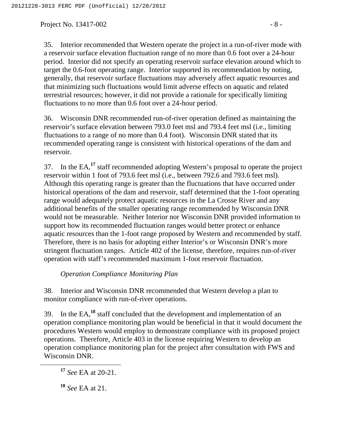Project No. 13417-002 - 8 -

35. Interior recommended that Western operate the project in a run-of-river mode with a reservoir surface elevation fluctuation range of no more than 0.6 foot over a 24-hour period. Interior did not specify an operating reservoir surface elevation around which to target the 0.6-foot operating range. Interior supported its recommendation by noting, generally, that reservoir surface fluctuations may adversely affect aquatic resources and that minimizing such fluctuations would limit adverse effects on aquatic and related terrestrial resources; however, it did not provide a rationale for specifically limiting fluctuations to no more than 0.6 foot over a 24-hour period.

36. Wisconsin DNR recommended run-of-river operation defined as maintaining the reservoir's surface elevation between 793.0 feet msl and 793.4 feet msl (i.e., limiting fluctuations to a range of no more than 0.4 foot). Wisconsin DNR stated that its recommended operating range is consistent with historical operations of the dam and reservoir.

37. In the EA,**<sup>17</sup>** staff recommended adopting Western's proposal to operate the project reservoir within 1 foot of 793.6 feet msl (i.e., between 792.6 and 793.6 feet msl). Although this operating range is greater than the fluctuations that have occurred under historical operations of the dam and reservoir, staff determined that the 1-foot operating range would adequately protect aquatic resources in the La Crosse River and any additional benefits of the smaller operating range recommended by Wisconsin DNR would not be measurable. Neither Interior nor Wisconsin DNR provided information to support how its recommended fluctuation ranges would better protect or enhance aquatic resources than the 1-foot range proposed by Western and recommended by staff. Therefore, there is no basis for adopting either Interior's or Wisconsin DNR's more stringent fluctuation ranges. Article 402 of the license, therefore, requires run-of-river operation with staff's recommended maximum 1-foot reservoir fluctuation.

### *Operation Compliance Monitoring Plan*

38. Interior and Wisconsin DNR recommended that Western develop a plan to monitor compliance with run-of-river operations.

39. In the EA,**<sup>18</sup>** staff concluded that the development and implementation of an operation compliance monitoring plan would be beneficial in that it would document the procedures Western would employ to demonstrate compliance with its proposed project operations. Therefore, Article 403 in the license requiring Western to develop an operation compliance monitoring plan for the project after consultation with FWS and Wisconsin DNR.

**<sup>18</sup>** *See* EA at 21.

**<sup>17</sup>** *See* EA at 20-21.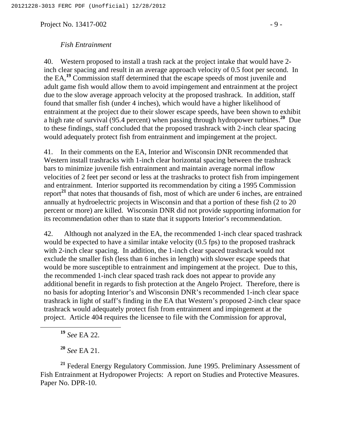Project No. 13417-002 - 9 -

#### *Fish Entrainment*

40. Western proposed to install a trash rack at the project intake that would have 2 inch clear spacing and result in an average approach velocity of 0.5 foot per second. In the EA,**<sup>19</sup>** Commission staff determined that the escape speeds of most juvenile and adult game fish would allow them to avoid impingement and entrainment at the project due to the slow average approach velocity at the proposed trashrack. In addition, staff found that smaller fish (under 4 inches), which would have a higher likelihood of entrainment at the project due to their slower escape speeds, have been shown to exhibit a high rate of survival (95.4 percent) when passing through hydropower turbines.**<sup>20</sup>** Due to these findings, staff concluded that the proposed trashrack with 2-inch clear spacing would adequately protect fish from entrainment and impingement at the project.

41. In their comments on the EA, Interior and Wisconsin DNR recommended that Western install trashracks with 1-inch clear horizontal spacing between the trashrack bars to minimize juvenile fish entrainment and maintain average normal inflow velocities of 2 feet per second or less at the trashracks to protect fish from impingement and entrainment. Interior supported its recommendation by citing a 1995 Commission report**<sup>21</sup>** that notes that thousands of fish, most of which are under 6 inches, are entrained annually at hydroelectric projects in Wisconsin and that a portion of these fish (2 to 20 percent or more) are killed. Wisconsin DNR did not provide supporting information for its recommendation other than to state that it supports Interior's recommendation.

42. Although not analyzed in the EA, the recommended 1-inch clear spaced trashrack would be expected to have a similar intake velocity (0.5 fps) to the proposed trashrack with 2-inch clear spacing. In addition, the 1-inch clear spaced trashrack would not exclude the smaller fish (less than 6 inches in length) with slower escape speeds that would be more susceptible to entrainment and impingement at the project. Due to this, the recommended 1-inch clear spaced trash rack does not appear to provide any additional benefit in regards to fish protection at the Angelo Project. Therefore, there is no basis for adopting Interior's and Wisconsin DNR's recommended 1-inch clear space trashrack in light of staff's finding in the EA that Western's proposed 2-inch clear space trashrack would adequately protect fish from entrainment and impingement at the project. Article 404 requires the licensee to file with the Commission for approval,

**<sup>19</sup>** *See* EA 22.

**<sup>20</sup>** *See* EA 21.

**<sup>21</sup>** Federal Energy Regulatory Commission. June 1995. Preliminary Assessment of Fish Entrainment at Hydropower Projects: A report on Studies and Protective Measures. Paper No. DPR-10.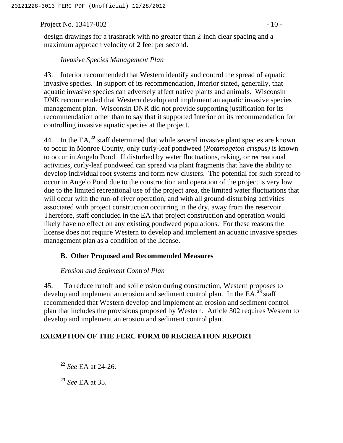Project No. 13417-002 - 10 -

design drawings for a trashrack with no greater than 2-inch clear spacing and a maximum approach velocity of 2 feet per second.

#### *Invasive Species Management Plan*

43. Interior recommended that Western identify and control the spread of aquatic invasive species. In support of its recommendation, Interior stated, generally, that aquatic invasive species can adversely affect native plants and animals. Wisconsin DNR recommended that Western develop and implement an aquatic invasive species management plan. Wisconsin DNR did not provide supporting justification for its recommendation other than to say that it supported Interior on its recommendation for controlling invasive aquatic species at the project.

44. In the EA,**<sup>22</sup>** staff determined that while several invasive plant species are known to occur in Monroe County, only curly-leaf pondweed (*Potamogeton crispus)* is known to occur in Angelo Pond. If disturbed by water fluctuations, raking, or recreational activities, curly-leaf pondweed can spread via plant fragments that have the ability to develop individual root systems and form new clusters. The potential for such spread to occur in Angelo Pond due to the construction and operation of the project is very low due to the limited recreational use of the project area, the limited water fluctuations that will occur with the run-of-river operation, and with all ground-disturbing activities associated with project construction occurring in the dry, away from the reservoir. Therefore, staff concluded in the EA that project construction and operation would likely have no effect on any existing pondweed populations. For these reasons the license does not require Western to develop and implement an aquatic invasive species management plan as a condition of the license.

#### **B. Other Proposed and Recommended Measures**

#### *Erosion and Sediment Control Plan*

45. To reduce runoff and soil erosion during construction, Western proposes to develop and implement an erosion and sediment control plan. In the EA,**<sup>23</sup>** staff recommended that Western develop and implement an erosion and sediment control plan that includes the provisions proposed by Western. Article 302 requires Western to develop and implement an erosion and sediment control plan.

### **EXEMPTION OF THE FERC FORM 80 RECREATION REPORT**

**<sup>22</sup>** *See* EA at 24-26.

**<sup>23</sup>** *See* EA at 35.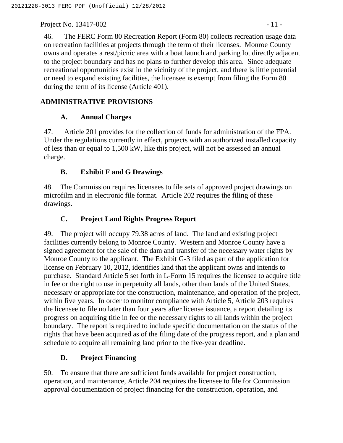Project No. 13417-002 - 11 -

46. The FERC Form 80 Recreation Report (Form 80) collects recreation usage data on recreation facilities at projects through the term of their licenses. Monroe County owns and operates a rest/picnic area with a boat launch and parking lot directly adjacent to the project boundary and has no plans to further develop this area. Since adequate recreational opportunities exist in the vicinity of the project, and there is little potential or need to expand existing facilities, the licensee is exempt from filing the Form 80 during the term of its license (Article 401).

# **ADMINISTRATIVE PROVISIONS**

## **A. Annual Charges**

47. Article 201 provides for the collection of funds for administration of the FPA. Under the regulations currently in effect, projects with an authorized installed capacity of less than or equal to 1,500 kW, like this project, will not be assessed an annual charge.

# **B. Exhibit F and G Drawings**

48. The Commission requires licensees to file sets of approved project drawings on microfilm and in electronic file format. Article 202 requires the filing of these drawings.

# **C. Project Land Rights Progress Report**

49. The project will occupy 79.38 acres of land. The land and existing project facilities currently belong to Monroe County. Western and Monroe County have a signed agreement for the sale of the dam and transfer of the necessary water rights by Monroe County to the applicant. The Exhibit G-3 filed as part of the application for license on February 10, 2012, identifies land that the applicant owns and intends to purchase. Standard Article 5 set forth in L-Form 15 requires the licensee to acquire title in fee or the right to use in perpetuity all lands, other than lands of the United States, necessary or appropriate for the construction, maintenance, and operation of the project, within five years. In order to monitor compliance with Article 5, Article 203 requires the licensee to file no later than four years after license issuance, a report detailing its progress on acquiring title in fee or the necessary rights to all lands within the project boundary. The report is required to include specific documentation on the status of the rights that have been acquired as of the filing date of the progress report, and a plan and schedule to acquire all remaining land prior to the five-year deadline.

# **D. Project Financing**

50. To ensure that there are sufficient funds available for project construction, operation, and maintenance, Article 204 requires the licensee to file for Commission approval documentation of project financing for the construction, operation, and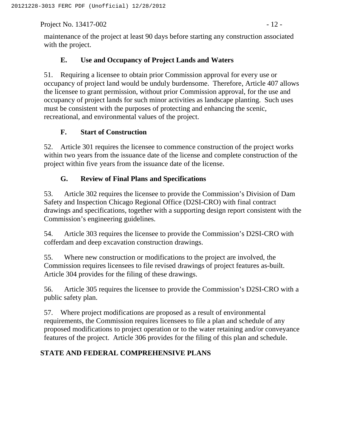Project No. 13417-002 - 12 -

maintenance of the project at least 90 days before starting any construction associated with the project.

## **E. Use and Occupancy of Project Lands and Waters**

51. Requiring a licensee to obtain prior Commission approval for every use or occupancy of project land would be unduly burdensome. Therefore, Article 407 allows the licensee to grant permission, without prior Commission approval, for the use and occupancy of project lands for such minor activities as landscape planting. Such uses must be consistent with the purposes of protecting and enhancing the scenic, recreational, and environmental values of the project.

## **F. Start of Construction**

52. Article 301 requires the licensee to commence construction of the project works within two years from the issuance date of the license and complete construction of the project within five years from the issuance date of the license.

## **G. Review of Final Plans and Specifications**

53. Article 302 requires the licensee to provide the Commission's Division of Dam Safety and Inspection Chicago Regional Office (D2SI-CRO) with final contract drawings and specifications, together with a supporting design report consistent with the Commission's engineering guidelines.

54. Article 303 requires the licensee to provide the Commission's D2SI-CRO with cofferdam and deep excavation construction drawings.

55. Where new construction or modifications to the project are involved, the Commission requires licensees to file revised drawings of project features as-built. Article 304 provides for the filing of these drawings.

56. Article 305 requires the licensee to provide the Commission's D2SI-CRO with a public safety plan.

57. Where project modifications are proposed as a result of environmental requirements, the Commission requires licensees to file a plan and schedule of any proposed modifications to project operation or to the water retaining and/or conveyance features of the project. Article 306 provides for the filing of this plan and schedule.

## **STATE AND FEDERAL COMPREHENSIVE PLANS**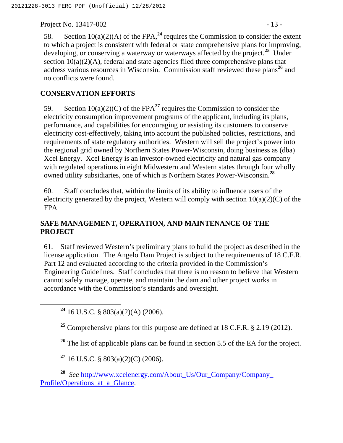Project No. 13417-002 - 13 -

58. Section  $10(a)(2)(A)$  of the FPA,  $24$  requires the Commission to consider the extent to which a project is consistent with federal or state comprehensive plans for improving, developing, or conserving a waterway or waterways affected by the project.**<sup>25</sup>** Under section  $10(a)(2)(A)$ , federal and state agencies filed three comprehensive plans that address various resources in Wisconsin. Commission staff reviewed these plans**<sup>26</sup>** and no conflicts were found.

# **CONSERVATION EFFORTS**

59. Section  $10(a)(2)(C)$  of the FPA<sup>27</sup> requires the Commission to consider the electricity consumption improvement programs of the applicant, including its plans, performance, and capabilities for encouraging or assisting its customers to conserve electricity cost-effectively, taking into account the published policies, restrictions, and requirements of state regulatory authorities. Western will sell the project's power into the regional grid owned by Northern States Power-Wisconsin, doing business as (dba) Xcel Energy. Xcel Energy is an investor-owned electricity and natural gas company with regulated operations in eight Midwestern and Western states through four wholly owned utility subsidiaries, one of which is Northern States Power-Wisconsin.**<sup>28</sup>**

60. Staff concludes that, within the limits of its ability to influence users of the electricity generated by the project, Western will comply with section  $10(a)(2)(C)$  of the FPA

# **SAFE MANAGEMENT, OPERATION, AND MAINTENANCE OF THE PROJECT**

61. Staff reviewed Western's preliminary plans to build the project as described in the license application. The Angelo Dam Project is subject to the requirements of 18 C.F.R. Part 12 and evaluated according to the criteria provided in the Commission's Engineering Guidelines. Staff concludes that there is no reason to believe that Western cannot safely manage, operate, and maintain the dam and other project works in accordance with the Commission's standards and oversight.

**<sup>24</sup>** 16 U.S.C. § 803(a)(2)(A) (2006).

**<sup>25</sup>** Comprehensive plans for this purpose are defined at 18 C.F.R. § 2.19 (2012).

<sup>26</sup> The list of applicable plans can be found in section 5.5 of the EA for the project.

**<sup>27</sup>** 16 U.S.C. § 803(a)(2)(C) (2006).

**<sup>28</sup>** *See* http://www.xcelenergy.com/About\_Us/Our\_Company/Company\_ Profile/Operations at a Glance.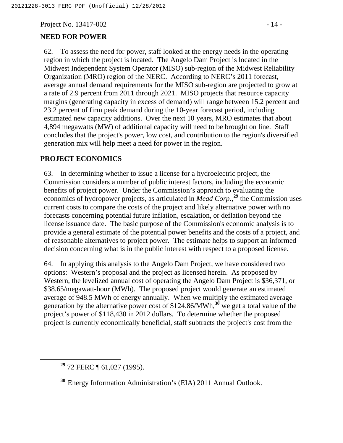Project No. 13417-002 - 14 -

### **NEED FOR POWER**

62. To assess the need for power, staff looked at the energy needs in the operating region in which the project is located. The Angelo Dam Project is located in the Midwest Independent System Operator (MISO) sub-region of the Midwest Reliability Organization (MRO) region of the NERC. According to NERC's 2011 forecast, average annual demand requirements for the MISO sub-region are projected to grow at a rate of 2.9 percent from 2011 through 2021. MISO projects that resource capacity margins (generating capacity in excess of demand) will range between 15.2 percent and 23.2 percent of firm peak demand during the 10-year forecast period, including estimated new capacity additions. Over the next 10 years, MRO estimates that about 4,894 megawatts (MW) of additional capacity will need to be brought on line. Staff concludes that the project's power, low cost, and contribution to the region's diversified generation mix will help meet a need for power in the region.

### **PROJECT ECONOMICS**

63. In determining whether to issue a license for a hydroelectric project, the Commission considers a number of public interest factors, including the economic benefits of project power. Under the Commission's approach to evaluating the economics of hydropower projects, as articulated in *Mead Corp*.,**<sup>29</sup>** the Commission uses current costs to compare the costs of the project and likely alternative power with no forecasts concerning potential future inflation, escalation, or deflation beyond the license issuance date. The basic purpose of the Commission's economic analysis is to provide a general estimate of the potential power benefits and the costs of a project, and of reasonable alternatives to project power. The estimate helps to support an informed decision concerning what is in the public interest with respect to a proposed license.

64. In applying this analysis to the Angelo Dam Project, we have considered two options: Western's proposal and the project as licensed herein. As proposed by Western, the levelized annual cost of operating the Angelo Dam Project is \$36,371, or \$38.65/megawatt-hour (MWh). The proposed project would generate an estimated average of 948.5 MWh of energy annually. When we multiply the estimated average generation by the alternative power cost of \$124.86/MWh,**<sup>30</sup>** we get a total value of the project's power of \$118,430 in 2012 dollars. To determine whether the proposed project is currently economically beneficial, staff subtracts the project's cost from the

**<sup>29</sup>** 72 FERC ¶ 61,027 (1995).

**<sup>30</sup>** Energy Information Administration's (EIA) 2011 Annual Outlook.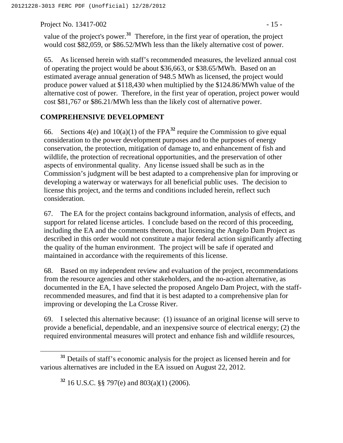Project No. 13417-002 - 15 -

value of the project's power.**<sup>31</sup>** Therefore, in the first year of operation, the project would cost \$82,059, or \$86.52/MWh less than the likely alternative cost of power.

65. As licensed herein with staff's recommended measures, the levelized annual cost of operating the project would be about \$36,663, or \$38.65/MWh. Based on an estimated average annual generation of 948.5 MWh as licensed, the project would produce power valued at \$118,430 when multiplied by the \$124.86/MWh value of the alternative cost of power. Therefore, in the first year of operation, project power would cost \$81,767 or \$86.21/MWh less than the likely cost of alternative power.

# **COMPREHENSIVE DEVELOPMENT**

66. Sections  $4(e)$  and  $10(a)(1)$  of the FPA<sup>32</sup> require the Commission to give equal consideration to the power development purposes and to the purposes of energy conservation, the protection, mitigation of damage to, and enhancement of fish and wildlife, the protection of recreational opportunities, and the preservation of other aspects of environmental quality. Any license issued shall be such as in the Commission's judgment will be best adapted to a comprehensive plan for improving or developing a waterway or waterways for all beneficial public uses. The decision to license this project, and the terms and conditions included herein, reflect such consideration.

67. The EA for the project contains background information, analysis of effects, and support for related license articles. I conclude based on the record of this proceeding, including the EA and the comments thereon, that licensing the Angelo Dam Project as described in this order would not constitute a major federal action significantly affecting the quality of the human environment. The project will be safe if operated and maintained in accordance with the requirements of this license.

68. Based on my independent review and evaluation of the project, recommendations from the resource agencies and other stakeholders, and the no-action alternative, as documented in the EA, I have selected the proposed Angelo Dam Project, with the staffrecommended measures, and find that it is best adapted to a comprehensive plan for improving or developing the La Crosse River.

69. I selected this alternative because: (1) issuance of an original license will serve to provide a beneficial, dependable, and an inexpensive source of electrical energy; (2) the required environmental measures will protect and enhance fish and wildlife resources,

**<sup>32</sup>** 16 U.S.C. §§ 797(e) and 803(a)(1) (2006).

**<sup>31</sup>** Details of staff's economic analysis for the project as licensed herein and for various alternatives are included in the EA issued on August 22, 2012.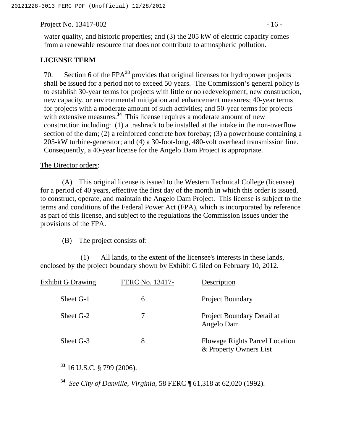Project No. 13417-002 - 16 -

water quality, and historic properties; and (3) the 205 kW of electric capacity comes from a renewable resource that does not contribute to atmospheric pollution.

### **LICENSE TERM**

70. Section 6 of the FPA**<sup>33</sup>** provides that original licenses for hydropower projects shall be issued for a period not to exceed 50 years. The Commission's general policy is to establish 30-year terms for projects with little or no redevelopment, new construction, new capacity, or environmental mitigation and enhancement measures; 40-year terms for projects with a moderate amount of such activities; and 50-year terms for projects with extensive measures.<sup>34</sup> This license requires a moderate amount of new construction including: (1) a trashrack to be installed at the intake in the non-overflow section of the dam; (2) a reinforced concrete box forebay; (3) a powerhouse containing a 205-kW turbine-generator; and (4) a 30-foot-long, 480-volt overhead transmission line. Consequently, a 40-year license for the Angelo Dam Project is appropriate.

The Director orders:

(A) This original license is issued to the Western Technical College (licensee) for a period of 40 years, effective the first day of the month in which this order is issued, to construct, operate, and maintain the Angelo Dam Project. This license is subject to the terms and conditions of the Federal Power Act (FPA), which is incorporated by reference as part of this license, and subject to the regulations the Commission issues under the provisions of the FPA.

(B) The project consists of:

(1) All lands, to the extent of the licensee's interests in these lands, enclosed by the project boundary shown by Exhibit G filed on February 10, 2012.

| <b>Exhibit G Drawing</b> | FERC No. 13417- | Description                                                     |
|--------------------------|-----------------|-----------------------------------------------------------------|
| Sheet G-1                | 6               | <b>Project Boundary</b>                                         |
| Sheet G-2                | 7               | Project Boundary Detail at<br>Angelo Dam                        |
| Sheet G-3                | 8               | <b>Flowage Rights Parcel Location</b><br>& Property Owners List |

**<sup>33</sup>** 16 U.S.C. § 799 (2006).

**<sup>34</sup>** *See City of Danville, Virginia,* 58 FERC ¶ 61,318 at 62,020 (1992).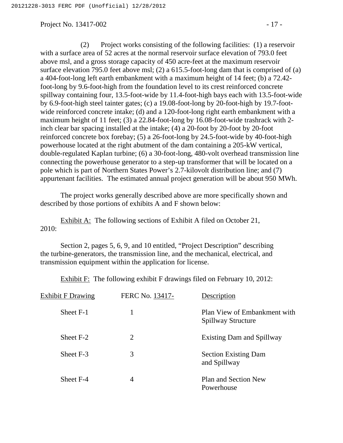Project No. 13417-002 - 17 -

(2) Project works consisting of the following facilities: (1) a reservoir with a surface area of 52 acres at the normal reservoir surface elevation of 793.0 feet above msl, and a gross storage capacity of 450 acre-feet at the maximum reservoir surface elevation 795.0 feet above msl; (2) a 615.5-foot-long dam that is comprised of (a) a 404-foot-long left earth embankment with a maximum height of 14 feet; (b) a 72.42 foot-long by 9.6-foot-high from the foundation level to its crest reinforced concrete spillway containing four, 13.5-foot-wide by 11.4-foot-high bays each with 13.5-foot-wide by 6.9-foot-high steel tainter gates; (c) a 19.08-foot-long by 20-foot-high by 19.7-footwide reinforced concrete intake; (d) and a 120-foot-long right earth embankment with a maximum height of 11 feet; (3) a 22.84-foot-long by 16.08-foot-wide trashrack with 2 inch clear bar spacing installed at the intake; (4) a 20-foot by 20-foot by 20-foot reinforced concrete box forebay; (5) a 26-foot-long by 24.5-foot-wide by 40-foot-high powerhouse located at the right abutment of the dam containing a 205-kW vertical, double-regulated Kaplan turbine; (6) a 30-foot-long, 480-volt overhead transmission line connecting the powerhouse generator to a step-up transformer that will be located on a pole which is part of Northern States Power's 2.7-kilovolt distribution line; and (7) appurtenant facilities. The estimated annual project generation will be about 950 MWh.

The project works generally described above are more specifically shown and described by those portions of exhibits A and F shown below:

Exhibit A: The following sections of Exhibit A filed on October 21, 2010:

Section 2, pages 5, 6, 9, and 10 entitled, "Project Description" describing the turbine-generators, the transmission line, and the mechanical, electrical, and transmission equipment within the application for license.

Exhibit F: The following exhibit F drawings filed on February 10, 2012:

| <b>Exhibit F Drawing</b> | FERC No. 13417-       | Description                                        |
|--------------------------|-----------------------|----------------------------------------------------|
| Sheet F-1                |                       | Plan View of Embankment with<br>Spillway Structure |
| Sheet F-2                | $\mathcal{D}_{\cdot}$ | <b>Existing Dam and Spillway</b>                   |
| Sheet F-3                | 3                     | <b>Section Existing Dam</b><br>and Spillway        |
| Sheet F-4                | 4                     | Plan and Section New<br>Powerhouse                 |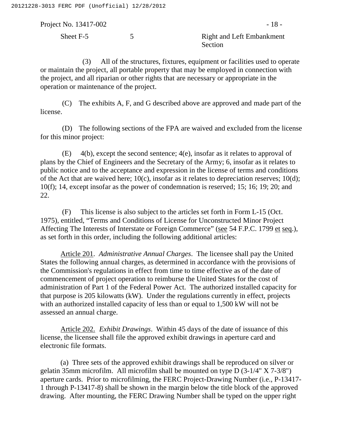Project No. 13417-002 - 18 -Sheet F-5 5 5 Right and Left Embankment Section

(3) All of the structures, fixtures, equipment or facilities used to operate or maintain the project, all portable property that may be employed in connection with the project, and all riparian or other rights that are necessary or appropriate in the operation or maintenance of the project.

(C) The exhibits A, F, and G described above are approved and made part of the license.

(D) The following sections of the FPA are waived and excluded from the license for this minor project:

(E) 4(b), except the second sentence; 4(e), insofar as it relates to approval of plans by the Chief of Engineers and the Secretary of the Army; 6, insofar as it relates to public notice and to the acceptance and expression in the license of terms and conditions of the Act that are waived here; 10(c), insofar as it relates to depreciation reserves; 10(d); 10(f); 14, except insofar as the power of condemnation is reserved; 15; 16; 19; 20; and 22.

(F) This license is also subject to the articles set forth in Form L-15 (Oct. 1975), entitled, "Terms and Conditions of License for Unconstructed Minor Project Affecting The Interests of Interstate or Foreign Commerce" (see 54 F.P.C. 1799 et seq.), as set forth in this order, including the following additional articles:

Article 201. *Administrative Annual Charges*. The licensee shall pay the United States the following annual charges, as determined in accordance with the provisions of the Commission's regulations in effect from time to time effective as of the date of commencement of project operation to reimburse the United States for the cost of administration of Part 1 of the Federal Power Act. The authorized installed capacity for that purpose is 205 kilowatts (kW). Under the regulations currently in effect, projects with an authorized installed capacity of less than or equal to 1,500 kW will not be assessed an annual charge.

Article 202. *Exhibit Drawings*. Within 45 days of the date of issuance of this license, the licensee shall file the approved exhibit drawings in aperture card and electronic file formats.

(a) Three sets of the approved exhibit drawings shall be reproduced on silver or gelatin 35mm microfilm. All microfilm shall be mounted on type D (3-1/4" X 7-3/8") aperture cards. Prior to microfilming, the FERC Project-Drawing Number (i.e., P-13417- 1 through P-13417-8) shall be shown in the margin below the title block of the approved drawing. After mounting, the FERC Drawing Number shall be typed on the upper right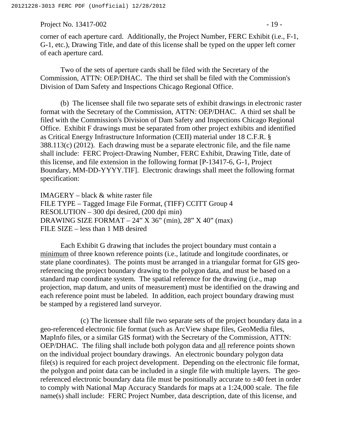Project No. 13417-002 - 19 -

corner of each aperture card. Additionally, the Project Number, FERC Exhibit (i.e., F-1, G-1, etc.), Drawing Title, and date of this license shall be typed on the upper left corner of each aperture card.

Two of the sets of aperture cards shall be filed with the Secretary of the Commission, ATTN: OEP/DHAC. The third set shall be filed with the Commission's Division of Dam Safety and Inspections Chicago Regional Office.

(b) The licensee shall file two separate sets of exhibit drawings in electronic raster format with the Secretary of the Commission, ATTN: OEP/DHAC. A third set shall be filed with the Commission's Division of Dam Safety and Inspections Chicago Regional Office. Exhibit F drawings must be separated from other project exhibits and identified as Critical Energy Infrastructure Information (CEII) material under 18 C.F.R. § 388.113(c) (2012). Each drawing must be a separate electronic file, and the file name shall include: FERC Project-Drawing Number, FERC Exhibit, Drawing Title, date of this license, and file extension in the following format [P-13417-6, G-1, Project Boundary, MM-DD-YYYY.TIF]. Electronic drawings shall meet the following format specification:

IMAGERY – black & white raster file FILE TYPE – Tagged Image File Format, (TIFF) CCITT Group 4 RESOLUTION – 300 dpi desired, (200 dpi min) DRAWING SIZE FORMAT –  $24$ " X 36" (min),  $28$ " X 40" (max) FILE SIZE – less than 1 MB desired

Each Exhibit G drawing that includes the project boundary must contain a minimum of three known reference points (i.e., latitude and longitude coordinates, or state plane coordinates). The points must be arranged in a triangular format for GIS georeferencing the project boundary drawing to the polygon data, and must be based on a standard map coordinate system. The spatial reference for the drawing (i.e., map projection, map datum, and units of measurement) must be identified on the drawing and each reference point must be labeled. In addition, each project boundary drawing must be stamped by a registered land surveyor.

(c) The licensee shall file two separate sets of the project boundary data in a geo-referenced electronic file format (such as ArcView shape files, GeoMedia files, MapInfo files, or a similar GIS format) with the Secretary of the Commission, ATTN: OEP/DHAC. The filing shall include both polygon data and all reference points shown on the individual project boundary drawings. An electronic boundary polygon data file(s) is required for each project development. Depending on the electronic file format, the polygon and point data can be included in a single file with multiple layers. The georeferenced electronic boundary data file must be positionally accurate to  $\pm 40$  feet in order to comply with National Map Accuracy Standards for maps at a 1:24,000 scale. The file name(s) shall include: FERC Project Number, data description, date of this license, and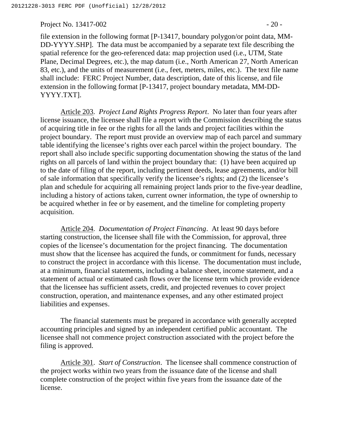Project No. 13417-002 - 20 -

file extension in the following format [P-13417, boundary polygon/or point data, MM-DD-YYYY.SHP]. The data must be accompanied by a separate text file describing the spatial reference for the geo-referenced data: map projection used (i.e., UTM, State Plane, Decimal Degrees, etc.), the map datum (i.e., North American 27, North American 83, etc.), and the units of measurement (i.e., feet, meters, miles, etc.). The text file name shall include: FERC Project Number, data description, date of this license, and file extension in the following format [P-13417, project boundary metadata, MM-DD-YYYY.TXT].

Article 203. *Project Land Rights Progress Report*. No later than four years after license issuance, the licensee shall file a report with the Commission describing the status of acquiring title in fee or the rights for all the lands and project facilities within the project boundary. The report must provide an overview map of each parcel and summary table identifying the licensee's rights over each parcel within the project boundary. The report shall also include specific supporting documentation showing the status of the land rights on all parcels of land within the project boundary that: (1) have been acquired up to the date of filing of the report, including pertinent deeds, lease agreements, and/or bill of sale information that specifically verify the licensee's rights; and (2) the licensee's plan and schedule for acquiring all remaining project lands prior to the five-year deadline, including a history of actions taken, current owner information, the type of ownership to be acquired whether in fee or by easement, and the timeline for completing property acquisition.

Article 204. *Documentation of Project Financing*. At least 90 days before starting construction, the licensee shall file with the Commission, for approval, three copies of the licensee's documentation for the project financing. The documentation must show that the licensee has acquired the funds, or commitment for funds, necessary to construct the project in accordance with this license. The documentation must include, at a minimum, financial statements, including a balance sheet, income statement, and a statement of actual or estimated cash flows over the license term which provide evidence that the licensee has sufficient assets, credit, and projected revenues to cover project construction, operation, and maintenance expenses, and any other estimated project liabilities and expenses.

The financial statements must be prepared in accordance with generally accepted accounting principles and signed by an independent certified public accountant. The licensee shall not commence project construction associated with the project before the filing is approved.

Article 301. *Start of Construction*. The licensee shall commence construction of the project works within two years from the issuance date of the license and shall complete construction of the project within five years from the issuance date of the license.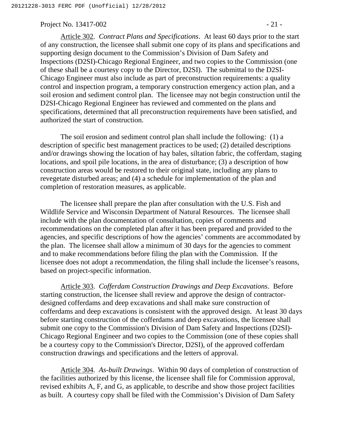#### Project No. 13417-002 - 21 -

Article 302. *Contract Plans and Specifications*. At least 60 days prior to the start of any construction, the licensee shall submit one copy of its plans and specifications and supporting design document to the Commission's Division of Dam Safety and Inspections (D2SI)-Chicago Regional Engineer, and two copies to the Commission (one of these shall be a courtesy copy to the Director, D2SI). The submittal to the D2SI-Chicago Engineer must also include as part of preconstruction requirements: a quality control and inspection program, a temporary construction emergency action plan, and a soil erosion and sediment control plan. The licensee may not begin construction until the D2SI-Chicago Regional Engineer has reviewed and commented on the plans and specifications, determined that all preconstruction requirements have been satisfied, and authorized the start of construction.

The soil erosion and sediment control plan shall include the following: (1) a description of specific best management practices to be used; (2) detailed descriptions and/or drawings showing the location of hay bales, siltation fabric, the cofferdam, staging locations, and spoil pile locations, in the area of disturbance; (3) a description of how construction areas would be restored to their original state, including any plans to revegetate disturbed areas; and (4) a schedule for implementation of the plan and completion of restoration measures, as applicable.

The licensee shall prepare the plan after consultation with the U.S. Fish and Wildlife Service and Wisconsin Department of Natural Resources. The licensee shall include with the plan documentation of consultation, copies of comments and recommendations on the completed plan after it has been prepared and provided to the agencies, and specific descriptions of how the agencies' comments are accommodated by the plan. The licensee shall allow a minimum of 30 days for the agencies to comment and to make recommendations before filing the plan with the Commission. If the licensee does not adopt a recommendation, the filing shall include the licensee's reasons, based on project-specific information.

Article 303. *Cofferdam Construction Drawings and Deep Excavations*. Before starting construction, the licensee shall review and approve the design of contractordesigned cofferdams and deep excavations and shall make sure construction of cofferdams and deep excavations is consistent with the approved design. At least 30 days before starting construction of the cofferdams and deep excavations, the licensee shall submit one copy to the Commission's Division of Dam Safety and Inspections (D2SI)- Chicago Regional Engineer and two copies to the Commission (one of these copies shall be a courtesy copy to the Commission's Director, D2SI), of the approved cofferdam construction drawings and specifications and the letters of approval.

Article 304. *As-built Drawings*. Within 90 days of completion of construction of the facilities authorized by this license, the licensee shall file for Commission approval, revised exhibits A, F, and G, as applicable, to describe and show those project facilities as built. A courtesy copy shall be filed with the Commission's Division of Dam Safety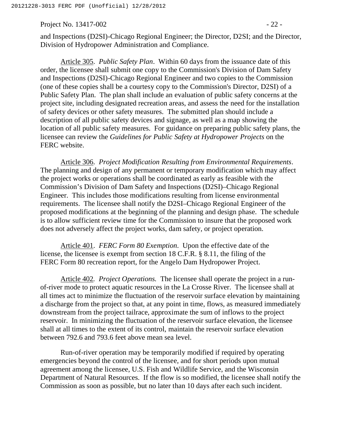Project No. 13417-002 - 22 -

and Inspections (D2SI)-Chicago Regional Engineer; the Director, D2SI; and the Director, Division of Hydropower Administration and Compliance.

Article 305. *Public Safety Plan*. Within 60 days from the issuance date of this order, the licensee shall submit one copy to the Commission's Division of Dam Safety and Inspections (D2SI)-Chicago Regional Engineer and two copies to the Commission (one of these copies shall be a courtesy copy to the Commission's Director, D2SI) of a Public Safety Plan. The plan shall include an evaluation of public safety concerns at the project site, including designated recreation areas, and assess the need for the installation of safety devices or other safety measures. The submitted plan should include a description of all public safety devices and signage, as well as a map showing the location of all public safety measures. For guidance on preparing public safety plans, the licensee can review the *Guidelines for Public Safety at Hydropower Projects* on the FERC website.

Article 306. *Project Modification Resulting from Environmental Requirements*. The planning and design of any permanent or temporary modification which may affect the project works or operations shall be coordinated as early as feasible with the Commission's Division of Dam Safety and Inspections (D2SI)–Chicago Regional Engineer. This includes those modifications resulting from license environmental requirements. The licensee shall notify the D2SI–Chicago Regional Engineer of the proposed modifications at the beginning of the planning and design phase. The schedule is to allow sufficient review time for the Commission to insure that the proposed work does not adversely affect the project works, dam safety, or project operation.

Article 401. *FERC Form 80 Exemption*. Upon the effective date of the license, the licensee is exempt from section 18 C.F.R. § 8.11, the filing of the FERC Form 80 recreation report, for the Angelo Dam Hydropower Project.

Article 402*. Project Operations.* The licensee shall operate the project in a runof-river mode to protect aquatic resources in the La Crosse River. The licensee shall at all times act to minimize the fluctuation of the reservoir surface elevation by maintaining a discharge from the project so that, at any point in time, flows, as measured immediately downstream from the project tailrace, approximate the sum of inflows to the project reservoir. In minimizing the fluctuation of the reservoir surface elevation, the licensee shall at all times to the extent of its control, maintain the reservoir surface elevation between 792.6 and 793.6 feet above mean sea level.

Run-of-river operation may be temporarily modified if required by operating emergencies beyond the control of the licensee, and for short periods upon mutual agreement among the licensee, U.S. Fish and Wildlife Service, and the Wisconsin Department of Natural Resources. If the flow is so modified, the licensee shall notify the Commission as soon as possible, but no later than 10 days after each such incident.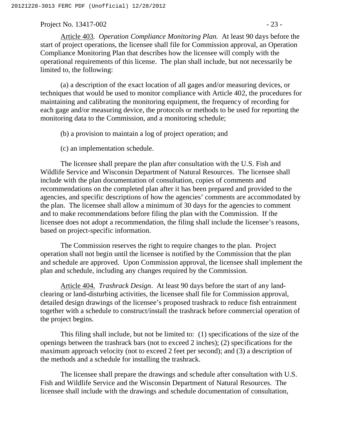#### Project No. 13417-002 - 23 -

Article 403*. Operation Compliance Monitoring Plan.* At least 90 days before the start of project operations, the licensee shall file for Commission approval, an Operation Compliance Monitoring Plan that describes how the licensee will comply with the operational requirements of this license. The plan shall include, but not necessarily be limited to, the following:

(a) a description of the exact location of all gages and/or measuring devices, or techniques that would be used to monitor compliance with Article 402, the procedures for maintaining and calibrating the monitoring equipment, the frequency of recording for each gage and/or measuring device, the protocols or methods to be used for reporting the monitoring data to the Commission, and a monitoring schedule;

- (b) a provision to maintain a log of project operation; and
- (c) an implementation schedule.

The licensee shall prepare the plan after consultation with the U.S. Fish and Wildlife Service and Wisconsin Department of Natural Resources. The licensee shall include with the plan documentation of consultation, copies of comments and recommendations on the completed plan after it has been prepared and provided to the agencies, and specific descriptions of how the agencies' comments are accommodated by the plan. The licensee shall allow a minimum of 30 days for the agencies to comment and to make recommendations before filing the plan with the Commission. If the licensee does not adopt a recommendation, the filing shall include the licensee's reasons, based on project-specific information.

The Commission reserves the right to require changes to the plan. Project operation shall not begin until the licensee is notified by the Commission that the plan and schedule are approved. Upon Commission approval, the licensee shall implement the plan and schedule, including any changes required by the Commission.

Article 404. *Trashrack Design*. At least 90 days before the start of any landclearing or land-disturbing activities, the licensee shall file for Commission approval, detailed design drawings of the licensee's proposed trashrack to reduce fish entrainment together with a schedule to construct/install the trashrack before commercial operation of the project begins.

This filing shall include, but not be limited to: (1) specifications of the size of the openings between the trashrack bars (not to exceed 2 inches); (2) specifications for the maximum approach velocity (not to exceed 2 feet per second); and (3) a description of the methods and a schedule for installing the trashrack.

The licensee shall prepare the drawings and schedule after consultation with U.S. Fish and Wildlife Service and the Wisconsin Department of Natural Resources. The licensee shall include with the drawings and schedule documentation of consultation,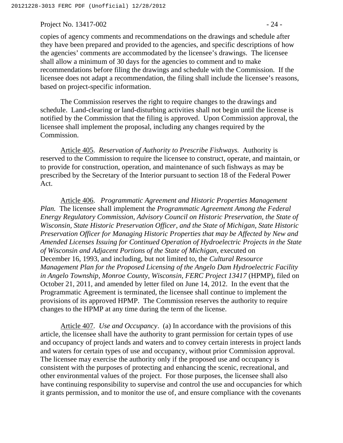Project No. 13417-002 - 24 -

copies of agency comments and recommendations on the drawings and schedule after they have been prepared and provided to the agencies, and specific descriptions of how the agencies' comments are accommodated by the licensee's drawings. The licensee shall allow a minimum of 30 days for the agencies to comment and to make recommendations before filing the drawings and schedule with the Commission. If the licensee does not adapt a recommendation, the filing shall include the licensee's reasons, based on project-specific information.

The Commission reserves the right to require changes to the drawings and schedule. Land-clearing or land-disturbing activities shall not begin until the license is notified by the Commission that the filing is approved. Upon Commission approval, the licensee shall implement the proposal, including any changes required by the Commission.

Article 405. *Reservation of Authority to Prescribe Fishways.* Authority is reserved to the Commission to require the licensee to construct, operate, and maintain, or to provide for construction, operation, and maintenance of such fishways as may be prescribed by the Secretary of the Interior pursuant to section 18 of the Federal Power Act.

Article 406. *Programmatic Agreement and Historic Properties Management Plan.* The licensee shall implement the *Programmatic Agreement Among the Federal Energy Regulatory Commission, Advisory Council on Historic Preservation, the State of Wisconsin, State Historic Preservation Officer, and the State of Michigan, State Historic Preservation Officer for Managing Historic Properties that may be Affected by New and Amended Licenses Issuing for Continued Operation of Hydroelectric Projects in the State of Wisconsin and Adjacent Portions of the State of Michigan*, executed on December 16, 1993, and including, but not limited to, the *Cultural Resource Management Plan for the Proposed Licensing of the Angelo Dam Hydroelectric Facility in Angelo Township, Monroe County, Wisconsin, FERC Project 13417* (HPMP), filed on October 21, 2011, and amended by letter filed on June 14, 2012. In the event that the Programmatic Agreement is terminated, the licensee shall continue to implement the provisions of its approved HPMP. The Commission reserves the authority to require changes to the HPMP at any time during the term of the license.

Article 407. *Use and Occupancy*. (a) In accordance with the provisions of this article, the licensee shall have the authority to grant permission for certain types of use and occupancy of project lands and waters and to convey certain interests in project lands and waters for certain types of use and occupancy, without prior Commission approval. The licensee may exercise the authority only if the proposed use and occupancy is consistent with the purposes of protecting and enhancing the scenic, recreational, and other environmental values of the project. For those purposes, the licensee shall also have continuing responsibility to supervise and control the use and occupancies for which it grants permission, and to monitor the use of, and ensure compliance with the covenants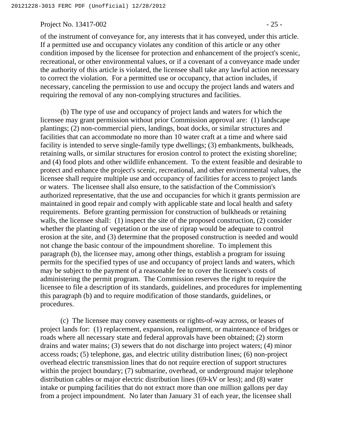Project No. 13417-002 - 25 -

of the instrument of conveyance for, any interests that it has conveyed, under this article. If a permitted use and occupancy violates any condition of this article or any other condition imposed by the licensee for protection and enhancement of the project's scenic, recreational, or other environmental values, or if a covenant of a conveyance made under the authority of this article is violated, the licensee shall take any lawful action necessary to correct the violation. For a permitted use or occupancy, that action includes, if necessary, canceling the permission to use and occupy the project lands and waters and requiring the removal of any non-complying structures and facilities.

(b) The type of use and occupancy of project lands and waters for which the licensee may grant permission without prior Commission approval are: (1) landscape plantings; (2) non-commercial piers, landings, boat docks, or similar structures and facilities that can accommodate no more than 10 water craft at a time and where said facility is intended to serve single-family type dwellings; (3) embankments, bulkheads, retaining walls, or similar structures for erosion control to protect the existing shoreline; and (4) food plots and other wildlife enhancement. To the extent feasible and desirable to protect and enhance the project's scenic, recreational, and other environmental values, the licensee shall require multiple use and occupancy of facilities for access to project lands or waters. The licensee shall also ensure, to the satisfaction of the Commission's authorized representative, that the use and occupancies for which it grants permission are maintained in good repair and comply with applicable state and local health and safety requirements. Before granting permission for construction of bulkheads or retaining walls, the licensee shall: (1) inspect the site of the proposed construction, (2) consider whether the planting of vegetation or the use of riprap would be adequate to control erosion at the site, and (3) determine that the proposed construction is needed and would not change the basic contour of the impoundment shoreline. To implement this paragraph (b), the licensee may, among other things, establish a program for issuing permits for the specified types of use and occupancy of project lands and waters, which may be subject to the payment of a reasonable fee to cover the licensee's costs of administering the permit program. The Commission reserves the right to require the licensee to file a description of its standards, guidelines, and procedures for implementing this paragraph (b) and to require modification of those standards, guidelines, or procedures.

(c) The licensee may convey easements or rights-of-way across, or leases of project lands for: (1) replacement, expansion, realignment, or maintenance of bridges or roads where all necessary state and federal approvals have been obtained; (2) storm drains and water mains; (3) sewers that do not discharge into project waters; (4) minor access roads; (5) telephone, gas, and electric utility distribution lines; (6) non-project overhead electric transmission lines that do not require erection of support structures within the project boundary; (7) submarine, overhead, or underground major telephone distribution cables or major electric distribution lines (69-kV or less); and (8) water intake or pumping facilities that do not extract more than one million gallons per day from a project impoundment. No later than January 31 of each year, the licensee shall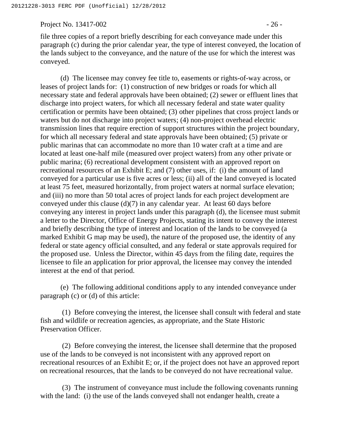Project No. 13417-002 - 26 -

file three copies of a report briefly describing for each conveyance made under this paragraph (c) during the prior calendar year, the type of interest conveyed, the location of the lands subject to the conveyance, and the nature of the use for which the interest was conveyed.

(d) The licensee may convey fee title to, easements or rights-of-way across, or leases of project lands for: (1) construction of new bridges or roads for which all necessary state and federal approvals have been obtained; (2) sewer or effluent lines that discharge into project waters, for which all necessary federal and state water quality certification or permits have been obtained; (3) other pipelines that cross project lands or waters but do not discharge into project waters; (4) non-project overhead electric transmission lines that require erection of support structures within the project boundary, for which all necessary federal and state approvals have been obtained; (5) private or public marinas that can accommodate no more than 10 water craft at a time and are located at least one-half mile (measured over project waters) from any other private or public marina; (6) recreational development consistent with an approved report on recreational resources of an Exhibit E; and (7) other uses, if: (i) the amount of land conveyed for a particular use is five acres or less; (ii) all of the land conveyed is located at least 75 feet, measured horizontally, from project waters at normal surface elevation; and (iii) no more than 50 total acres of project lands for each project development are conveyed under this clause (d)(7) in any calendar year. At least 60 days before conveying any interest in project lands under this paragraph (d), the licensee must submit a letter to the Director, Office of Energy Projects, stating its intent to convey the interest and briefly describing the type of interest and location of the lands to be conveyed (a marked Exhibit G map may be used), the nature of the proposed use, the identity of any federal or state agency official consulted, and any federal or state approvals required for the proposed use. Unless the Director, within 45 days from the filing date, requires the licensee to file an application for prior approval, the licensee may convey the intended interest at the end of that period.

(e) The following additional conditions apply to any intended conveyance under paragraph (c) or (d) of this article:

(1) Before conveying the interest, the licensee shall consult with federal and state fish and wildlife or recreation agencies, as appropriate, and the State Historic Preservation Officer.

(2) Before conveying the interest, the licensee shall determine that the proposed use of the lands to be conveyed is not inconsistent with any approved report on recreational resources of an Exhibit E; or, if the project does not have an approved report on recreational resources, that the lands to be conveyed do not have recreational value.

(3) The instrument of conveyance must include the following covenants running with the land: (i) the use of the lands conveyed shall not endanger health, create a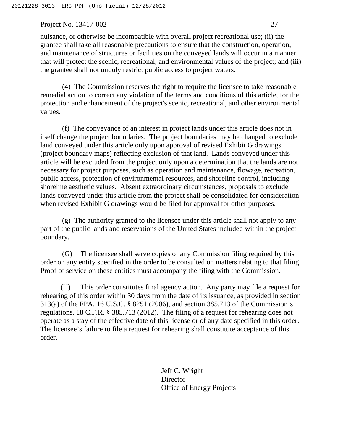Project No. 13417-002 - 27 -

nuisance, or otherwise be incompatible with overall project recreational use; (ii) the grantee shall take all reasonable precautions to ensure that the construction, operation, and maintenance of structures or facilities on the conveyed lands will occur in a manner that will protect the scenic, recreational, and environmental values of the project; and (iii) the grantee shall not unduly restrict public access to project waters.

(4) The Commission reserves the right to require the licensee to take reasonable remedial action to correct any violation of the terms and conditions of this article, for the protection and enhancement of the project's scenic, recreational, and other environmental values.

(f) The conveyance of an interest in project lands under this article does not in itself change the project boundaries. The project boundaries may be changed to exclude land conveyed under this article only upon approval of revised Exhibit G drawings (project boundary maps) reflecting exclusion of that land. Lands conveyed under this article will be excluded from the project only upon a determination that the lands are not necessary for project purposes, such as operation and maintenance, flowage, recreation, public access, protection of environmental resources, and shoreline control, including shoreline aesthetic values. Absent extraordinary circumstances, proposals to exclude lands conveyed under this article from the project shall be consolidated for consideration when revised Exhibit G drawings would be filed for approval for other purposes.

(g) The authority granted to the licensee under this article shall not apply to any part of the public lands and reservations of the United States included within the project boundary.

(G) The licensee shall serve copies of any Commission filing required by this order on any entity specified in the order to be consulted on matters relating to that filing. Proof of service on these entities must accompany the filing with the Commission.

(H) This order constitutes final agency action. Any party may file a request for rehearing of this order within 30 days from the date of its issuance, as provided in section 313(a) of the FPA, 16 U.S.C. § 8251 (2006), and section 385.713 of the Commission's regulations, 18 C.F.R. § 385.713 (2012). The filing of a request for rehearing does not operate as a stay of the effective date of this license or of any date specified in this order. The licensee's failure to file a request for rehearing shall constitute acceptance of this order.

> Jeff C. Wright **Director** Office of Energy Projects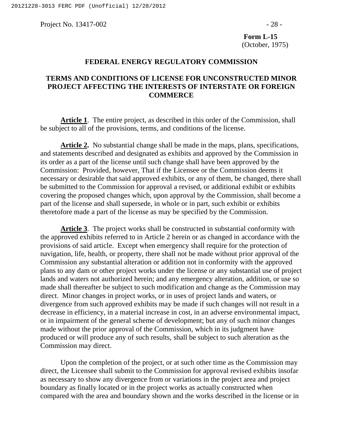Project No. 13417-002 - 28 -

**Form L-15**  (October, 1975)

### **FEDERAL ENERGY REGULATORY COMMISSION**

### **TERMS AND CONDITIONS OF LICENSE FOR UNCONSTRUCTED MINOR PROJECT AFFECTING THE INTERESTS OF INTERSTATE OR FOREIGN COMMERCE**

**Article 1**. The entire project, as described in this order of the Commission, shall be subject to all of the provisions, terms, and conditions of the license.

**Article 2.** No substantial change shall be made in the maps, plans, specifications, and statements described and designated as exhibits and approved by the Commission in its order as a part of the license until such change shall have been approved by the Commission: Provided, however, That if the Licensee or the Commission deems it necessary or desirable that said approved exhibits, or any of them, be changed, there shall be submitted to the Commission for approval a revised, or additional exhibit or exhibits covering the proposed changes which, upon approval by the Commission, shall become a part of the license and shall supersede, in whole or in part, such exhibit or exhibits theretofore made a part of the license as may be specified by the Commission.

**Article 3**. The project works shall be constructed in substantial conformity with the approved exhibits referred to in Article 2 herein or as changed in accordance with the provisions of said article. Except when emergency shall require for the protection of navigation, life, health, or property, there shall not be made without prior approval of the Commission any substantial alteration or addition not in conformity with the approved plans to any dam or other project works under the license or any substantial use of project lands and waters not authorized herein; and any emergency alteration, addition, or use so made shall thereafter be subject to such modification and change as the Commission may direct. Minor changes in project works, or in uses of project lands and waters, or divergence from such approved exhibits may be made if such changes will not result in a decrease in efficiency, in a material increase in cost, in an adverse environmental impact, or in impairment of the general scheme of development; but any of such minor changes made without the prior approval of the Commission, which in its judgment have produced or will produce any of such results, shall be subject to such alteration as the Commission may direct.

Upon the completion of the project, or at such other time as the Commission may direct, the Licensee shall submit to the Commission for approval revised exhibits insofar as necessary to show any divergence from or variations in the project area and project boundary as finally located or in the project works as actually constructed when compared with the area and boundary shown and the works described in the license or in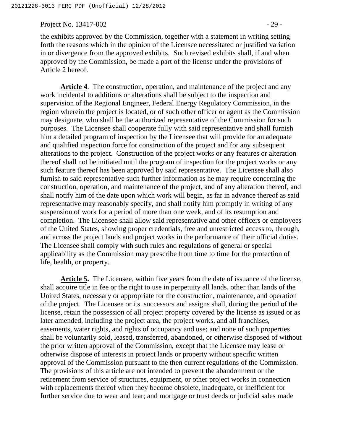Project No. 13417-002 - 29 -

the exhibits approved by the Commission, together with a statement in writing setting forth the reasons which in the opinion of the Licensee necessitated or justified variation in or divergence from the approved exhibits. Such revised exhibits shall, if and when approved by the Commission, be made a part of the license under the provisions of Article 2 hereof.

**Article 4**. The construction, operation, and maintenance of the project and any work incidental to additions or alterations shall be subject to the inspection and supervision of the Regional Engineer, Federal Energy Regulatory Commission, in the region wherein the project is located, or of such other officer or agent as the Commission may designate, who shall be the authorized representative of the Commission for such purposes. The Licensee shall cooperate fully with said representative and shall furnish him a detailed program of inspection by the Licensee that will provide for an adequate and qualified inspection force for construction of the project and for any subsequent alterations to the project. Construction of the project works or any features or alteration thereof shall not be initiated until the program of inspection for the project works or any such feature thereof has been approved by said representative. The Licensee shall also furnish to said representative such further information as he may require concerning the construction, operation, and maintenance of the project, and of any alteration thereof, and shall notify him of the date upon which work will begin, as far in advance thereof as said representative may reasonably specify, and shall notify him promptly in writing of any suspension of work for a period of more than one week, and of its resumption and completion. The Licensee shall allow said representative and other officers or employees of the United States, showing proper credentials, free and unrestricted access to, through, and across the project lands and project works in the performance of their official duties. The Licensee shall comply with such rules and regulations of general or special applicability as the Commission may prescribe from time to time for the protection of life, health, or property.

**Article 5.** The Licensee, within five years from the date of issuance of the license, shall acquire title in fee or the right to use in perpetuity all lands, other than lands of the United States, necessary or appropriate for the construction, maintenance, and operation of the project. The Licensee or its successors and assigns shall, during the period of the license, retain the possession of all project property covered by the license as issued or as later amended, including the project area, the project works, and all franchises, easements, water rights, and rights of occupancy and use; and none of such properties shall be voluntarily sold, leased, transferred, abandoned, or otherwise disposed of without the prior written approval of the Commission, except that the Licensee may lease or otherwise dispose of interests in project lands or property without specific written approval of the Commission pursuant to the then current regulations of the Commission. The provisions of this article are not intended to prevent the abandonment or the retirement from service of structures, equipment, or other project works in connection with replacements thereof when they become obsolete, inadequate, or inefficient for further service due to wear and tear; and mortgage or trust deeds or judicial sales made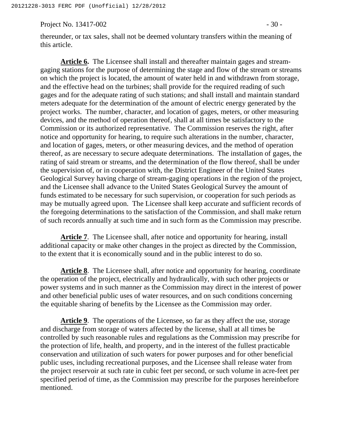Project No. 13417-002 - 30 -

thereunder, or tax sales, shall not be deemed voluntary transfers within the meaning of this article.

**Article 6.** The Licensee shall install and thereafter maintain gages and streamgaging stations for the purpose of determining the stage and flow of the stream or streams on which the project is located, the amount of water held in and withdrawn from storage, and the effective head on the turbines; shall provide for the required reading of such gages and for the adequate rating of such stations; and shall install and maintain standard meters adequate for the determination of the amount of electric energy generated by the project works. The number, character, and location of gages, meters, or other measuring devices, and the method of operation thereof, shall at all times be satisfactory to the Commission or its authorized representative. The Commission reserves the right, after notice and opportunity for hearing, to require such alterations in the number, character, and location of gages, meters, or other measuring devices, and the method of operation thereof, as are necessary to secure adequate determinations. The installation of gages, the rating of said stream or streams, and the determination of the flow thereof, shall be under the supervision of, or in cooperation with, the District Engineer of the United States Geological Survey having charge of stream-gaging operations in the region of the project, and the Licensee shall advance to the United States Geological Survey the amount of funds estimated to be necessary for such supervision, or cooperation for such periods as may be mutually agreed upon. The Licensee shall keep accurate and sufficient records of the foregoing determinations to the satisfaction of the Commission, and shall make return of such records annually at such time and in such form as the Commission may prescribe.

**Article 7**. The Licensee shall, after notice and opportunity for hearing, install additional capacity or make other changes in the project as directed by the Commission, to the extent that it is economically sound and in the public interest to do so.

**Article 8**. The Licensee shall, after notice and opportunity for hearing, coordinate the operation of the project, electrically and hydraulically, with such other projects or power systems and in such manner as the Commission may direct in the interest of power and other beneficial public uses of water resources, and on such conditions concerning the equitable sharing of benefits by the Licensee as the Commission may order.

**Article 9**. The operations of the Licensee, so far as they affect the use, storage and discharge from storage of waters affected by the license, shall at all times be controlled by such reasonable rules and regulations as the Commission may prescribe for the protection of life, health, and property, and in the interest of the fullest practicable conservation and utilization of such waters for power purposes and for other beneficial public uses, including recreational purposes, and the Licensee shall release water from the project reservoir at such rate in cubic feet per second, or such volume in acre-feet per specified period of time, as the Commission may prescribe for the purposes hereinbefore mentioned.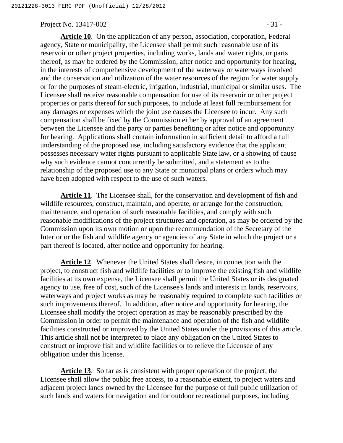#### Project No. 13417-002 - 31 -

**Article 10**. On the application of any person, association, corporation, Federal agency, State or municipality, the Licensee shall permit such reasonable use of its reservoir or other project properties, including works, lands and water rights, or parts thereof, as may be ordered by the Commission, after notice and opportunity for hearing, in the interests of comprehensive development of the waterway or waterways involved and the conservation and utilization of the water resources of the region for water supply or for the purposes of steam-electric, irrigation, industrial, municipal or similar uses. The Licensee shall receive reasonable compensation for use of its reservoir or other project properties or parts thereof for such purposes, to include at least full reimbursement for any damages or expenses which the joint use causes the Licensee to incur. Any such compensation shall be fixed by the Commission either by approval of an agreement between the Licensee and the party or parties benefiting or after notice and opportunity for hearing. Applications shall contain information in sufficient detail to afford a full understanding of the proposed use, including satisfactory evidence that the applicant possesses necessary water rights pursuant to applicable State law, or a showing of cause why such evidence cannot concurrently be submitted, and a statement as to the relationship of the proposed use to any State or municipal plans or orders which may have been adopted with respect to the use of such waters.

**Article 11**. The Licensee shall, for the conservation and development of fish and wildlife resources, construct, maintain, and operate, or arrange for the construction, maintenance, and operation of such reasonable facilities, and comply with such reasonable modifications of the project structures and operation, as may be ordered by the Commission upon its own motion or upon the recommendation of the Secretary of the Interior or the fish and wildlife agency or agencies of any State in which the project or a part thereof is located, after notice and opportunity for hearing.

**Article 12**. Whenever the United States shall desire, in connection with the project, to construct fish and wildlife facilities or to improve the existing fish and wildlife facilities at its own expense, the Licensee shall permit the United States or its designated agency to use, free of cost, such of the Licensee's lands and interests in lands, reservoirs, waterways and project works as may be reasonably required to complete such facilities or such improvements thereof. In addition, after notice and opportunity for hearing, the Licensee shall modify the project operation as may be reasonably prescribed by the Commission in order to permit the maintenance and operation of the fish and wildlife facilities constructed or improved by the United States under the provisions of this article. This article shall not be interpreted to place any obligation on the United States to construct or improve fish and wildlife facilities or to relieve the Licensee of any obligation under this license.

**Article 13**. So far as is consistent with proper operation of the project, the Licensee shall allow the public free access, to a reasonable extent, to project waters and adjacent project lands owned by the Licensee for the purpose of full public utilization of such lands and waters for navigation and for outdoor recreational purposes, including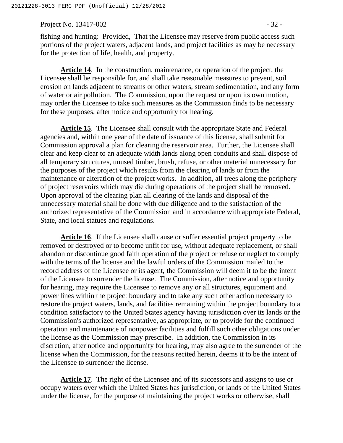Project No. 13417-002 - 32 -

fishing and hunting: Provided, That the Licensee may reserve from public access such portions of the project waters, adjacent lands, and project facilities as may be necessary for the protection of life, health, and property.

**Article 14**. In the construction, maintenance, or operation of the project, the Licensee shall be responsible for, and shall take reasonable measures to prevent, soil erosion on lands adjacent to streams or other waters, stream sedimentation, and any form of water or air pollution. The Commission, upon the request or upon its own motion, may order the Licensee to take such measures as the Commission finds to be necessary for these purposes, after notice and opportunity for hearing.

**Article 15**. The Licensee shall consult with the appropriate State and Federal agencies and, within one year of the date of issuance of this license, shall submit for Commission approval a plan for clearing the reservoir area. Further, the Licensee shall clear and keep clear to an adequate width lands along open conduits and shall dispose of all temporary structures, unused timber, brush, refuse, or other material unnecessary for the purposes of the project which results from the clearing of lands or from the maintenance or alteration of the project works. In addition, all trees along the periphery of project reservoirs which may die during operations of the project shall be removed. Upon approval of the clearing plan all clearing of the lands and disposal of the unnecessary material shall be done with due diligence and to the satisfaction of the authorized representative of the Commission and in accordance with appropriate Federal, State, and local statues and regulations.

**Article 16**. If the Licensee shall cause or suffer essential project property to be removed or destroyed or to become unfit for use, without adequate replacement, or shall abandon or discontinue good faith operation of the project or refuse or neglect to comply with the terms of the license and the lawful orders of the Commission mailed to the record address of the Licensee or its agent, the Commission will deem it to be the intent of the Licensee to surrender the license. The Commission, after notice and opportunity for hearing, may require the Licensee to remove any or all structures, equipment and power lines within the project boundary and to take any such other action necessary to restore the project waters, lands, and facilities remaining within the project boundary to a condition satisfactory to the United States agency having jurisdiction over its lands or the Commission's authorized representative, as appropriate, or to provide for the continued operation and maintenance of nonpower facilities and fulfill such other obligations under the license as the Commission may prescribe. In addition, the Commission in its discretion, after notice and opportunity for hearing, may also agree to the surrender of the license when the Commission, for the reasons recited herein, deems it to be the intent of the Licensee to surrender the license.

**Article 17**. The right of the Licensee and of its successors and assigns to use or occupy waters over which the United States has jurisdiction, or lands of the United States under the license, for the purpose of maintaining the project works or otherwise, shall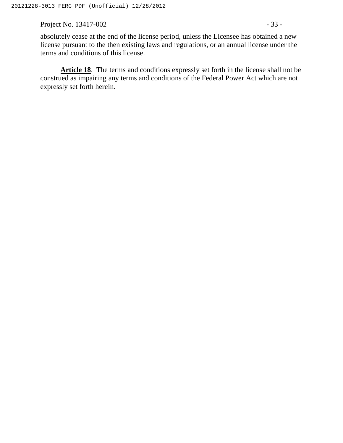Project No. 13417-002 - 33 -

absolutely cease at the end of the license period, unless the Licensee has obtained a new license pursuant to the then existing laws and regulations, or an annual license under the terms and conditions of this license.

Article 18. The terms and conditions expressly set forth in the license shall not be construed as impairing any terms and conditions of the Federal Power Act which are not expressly set forth herein.